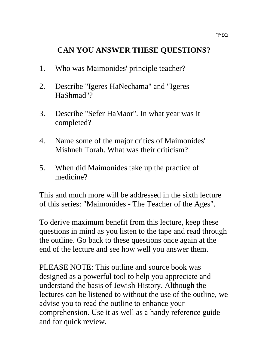# **CAN YOU ANSWER THESE QUESTIONS?**

- 1. Who was Maimonides' principle teacher?
- 2. Describe "Igeres HaNechama" and "Igeres HaShmad"?
- 3. Describe "Sefer HaMaor". In what year was it completed?
- 4. Name some of the major critics of Maimonides' Mishneh Torah. What was their criticism?
- 5. When did Maimonides take up the practice of medicine?

This and much more will be addressed in the sixth lecture of this series: "Maimonides - The Teacher of the Ages".

To derive maximum benefit from this lecture, keep these questions in mind as you listen to the tape and read through the outline. Go back to these questions once again at the end of the lecture and see how well you answer them.

PLEASE NOTE: This outline and source book was designed as a powerful tool to help you appreciate and understand the basis of Jewish History. Although the lectures can be listened to without the use of the outline, we advise you to read the outline to enhance your comprehension. Use it as well as a handy reference guide and for quick review.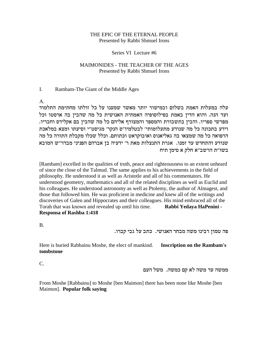#### THE EPIC OF THE ETERNAL PEOPLE Presented by Rabbi Shmuel Irons

#### Series VI Lecture #6

#### MAIMONIDES - THE TEACHER OF THE AGES Presented by Rabbi Shmuel Irons

#### $\mathbf{I}$ . Rambam-The Giant of the Middle Ages

A.

עלה במעלות האמת בשלום ובמישור יותר מאשר שמענו על כל זולתו מחתימת התלמוד ועד הנה. והוא הדין באמת בפילוסופיה האמתית האנושית כל מה שהבין בה ארסטו וכל מפרשי ספריו. והבין בתשבורת והמספר והמצורף אליהם כל מה שהבין בם אקלידס וחבריו. וידע בתכונה כל מה שנודע מתעלומותי' לבטלמיו"ס הנקר' מגיסט"י וסיעתו ומצא במלאכת הרפואה כל מה שמצאו בה גאליאנוס ואובוקראט וכתותם. וכלל שכלו מקבלת התורה כל מה ידעיה בן אברהם הפניני מבדר"ש המובא שנודע והתחדש שנודע שברה בשו"ת הרשב"א חלק א סימן תיח

[Rambam] excelled in the qualities of truth, peace and righteousness to an extent unheard of since the close of the Talmud. The same applies to his achievements in the field of philosophy. He understood it as well as Aristotle and all of his commentators. He understood geometry, mathematics and all of the related disciplines as well as Euclid and his colleagues. He understood astronomy as well as Ptolemy, the author of Almagest, and those that followed him. He was proficient in medicine and knew all of the writings and discoveries of Galen and Hippocrates and their colleagues. His mind embraced all of the Torah that was known and revealed up until his time. Rabbi Yedaya HaPenini -**Responsa of Rashba 1:418** 

 $B<sub>1</sub>$ 

פה טמון רבינו משה מבחר האנושי. כתב על גבי קברו.

Here is buried Rabbainu Moshe, the elect of mankind. **Inscription on the Rambam's** tombstone

 $C_{\cdot}$ 

ממשה עד משה לא קם כמשה. משל העם

From Moshe [Rabbainu] to Moshe [ben Maimon] there has been none like Moshe [ben Maimon]. Popular folk saving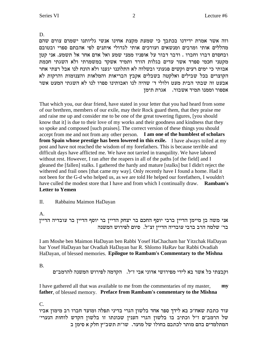D.

וזה אשר אמרת ידידנו בכתבך כי שמעת מקצת אחינו אנשי גליותנו ישמרם צורם שהם מהללים אותי ומרבים ומנשאים ועורכים אותי לגדולי איתנים לפי אהבתם ספרי ובטובם ובחסדם דברו וחברו . ודבר דבור על אופניו ממני שמע ואל אדם אחר אל תשמע. אני קטן מקטני חכמי ספרד אשר עדים בגלות הורד ותמיד אשקד במשמרתי ולא השגתי חכמת אבותי כי ימים רעים וקשים פגעוני ובשלוה לא התלוננו יגענו ולא הונח לנו אבל רצתי אחר הקוצרים בכל שבילים ואלקטה בשבלים אקבץ הבריאות והמלאות והצנומות והרקות לא אבעט זה שבתי הבית מעט ולולי ד' שהיה לנו ואבותינו ספרו לנו לא השגתי המעט אשר אספור וממנו תמיד אשבור. אגרת תימן

That which you, our dear friend, have stated in your letter that you had heard from some of our brethren, members of our exile, may their Rock guard them, that they praise me and raise me up and consider me to be one of the great towering figures, [you should know that it] is due to their love of my works and their goodness and kindness that they so spoke and composed [such praises]. The correct version of these things you should accept from me and not from any other person. I am one of the humblest of scholars **from Spain whose prestige has been lowered in this exile.** I have always toiled at my post and have not reached the wisdom of my forefathers. This is because terrible and difficult days have afflicted me. We have not tarried in tranquility. We have labored without rest. However, I ran after the reapers in all of the paths [of the field] and I gleaned the [fallen] stalks. I gathered the hardy and mature [stalks] but I didn't reject the withered and frail ones [that came my way]. Only recently have I found a home. Had it not been for the G-d who helped us, as we are told He helped our forefathers, I wouldn't have culled the modest store that I have and from which I continually draw. Rambam's **Letter to Yemen** 

II. Rabbainu Maimon HaDayan

 $A<sub>1</sub>$ 

אני משה בן מיימן הדיין ברבי יוסף החכם בר יצחק הדיין בר יוסף הדיין בר עובדיה הדיין בר׳ שלמה הרב ברבי עובדיה הדיין זצ״ל. סיום לפירוש המשנה

I am Moshe ben Maimon HaDayan ben Rabbi Yosef HaChacham bar Yitzchak HaDayan bar Yosef HaDayan bar Ovadiah HaDayan bar R. Shlomo HaRav bar Rabbi Ovadiah HaDayan, of blessed memories. Epilogue to Rambam's Commentary to the Mishna

**B.** 

וקבצתי כל אשר בא לידי מפירושי אדוני אבי ז"ל. הקדמה לפירוש המשנה להרמב"ם

I have gathered all that was available to me from the commentaries of my master, my father, of blessed memory. Preface from Rambam's commentary to the Mishna

 $C_{\cdot}$ 

עוד כתבת שאח״כ בא לידך ספר אחד בלשון הגרי בדיני תפלה ומועד חברו רב מימון אביו של הרמב"ם ז"ל וכתיב בו בלשון הגרי הענין שכונתו זו בלשון הקדש לוחות הנערי' המתלמדים בהם מותר לכתבם בחולו של מועד. שו"ת תשב"ץ חלק א סימן ב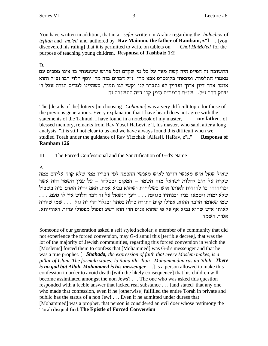You have written in addition, that in a *sefer* written in Arabic regarding the *halachos* of *tefilah* and *mo'ed* and authored by **Rav Maimon, the father of Rambam, z''l**, [you Chol HaMo'ed for the discovered his ruling] that it is permitted to write on tablets on purpose of teaching young children. Responsa of Tashbatz 1:2

### $D_{\alpha}$

התשובה זה הפייס היה קשה מאד על כל מי שקדם וכל פרוש ששמעתי בו אינו מסכים עם מאמרי התלמוד. ומצאתי בקונטרס אבא מרי ז"ל דברים בזה מר' יוסף הלוי רבו זצ"ל והוא אומר אחר דיון ארוך ועדיין לא נתברר לנו וקשי לנו תמיד, כשהיינו למדים תורה אצל ר׳ יצחק הרב ז"ל. שו"ת הרמב"ם סימן קכו ד"ה התשובה זה

The [details of the] lottery [in choosing *Cohanim*] was a very difficult topic for those of the previous generations. Every explanation that I have heard does not agree with the statements of the Talmud. I have found in a notebook of my master, my father, of blessed memory, remarks from Rav Yosef HaLevi, z"l, his master, who said, after a long analysis, "It is still not clear to us and we have always found this difficult when we studied Torah under the guidance of Rav Yitzchak [Alfasi], HaRav, z"l." **Responsa of** Rambam 126

III. The Forced Confessional and the Sanctification of G-d's Name

#### $\mathsf{A}$ .

שאול שאל איש מאנשי דורנו לאיש מאנשי החכמה לפי דבריו ממי שלא קרה עליהם ממה שקרה על רוב קהלות ישראל מזה השמד – המקום יבטלהו – על ענין השמד הזה אשר יכריחוהו בו להודות לאותו איש בשליחות ושהוא נביא אמת, האם יודה האדם בזה בשביל שמי שאומר הדבר ההוא, אפילו קיים התורה כולה בסתר ובגלוי הרי זה גוי! . . . שמי שיודה לאותו איש שהוא נביא אף על פי שהוא אנוס הרי הוא רשע ופסול מפסולי עדות דאורייתא. אגרת השמד

Someone of our generation asked a self styled scholar, a member of a community that did not experience the forced conversion, may G-d annul this [terrible decree], that was the lot of the majority of Jewish communities, regarding this forced conversion in which the [Moslems] forced them to confess that [Mohammed] was G-d's messenger and that he was a true prophet. [ Shahada, the expression of faith that every Moslem makes, is a pillar of Islam. The formula states: la ilaha illa-'llah - Muhammadun rasulu 'illah, There is no god but Allah. Mohammed is his messenger  $\Box$  Is a person allowed to make this confession in order to avoid death [with the likely consequence] that his children will become assimilated amongst the non Jews? . . . The one who was asked this question responded with a feeble answer that lacked real substance . . . [and stated] that any one who made that confession, even if he [otherwise] fulfilled the entire Torah in private and public has the status of a non Jew! . . . Even if he admitted under duress that [Mohammed] was a prophet, that person is considered an evil doer whose testimony the Torah disqualified. The Epistle of Forced Conversion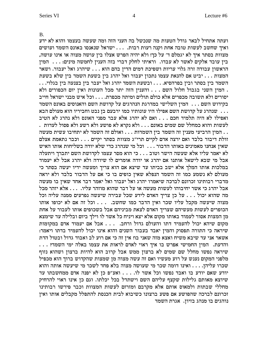B.

ועתה אתחיל לבאר גודל הטעות מה שנכשל בה העני הזה ומה שעשה בעצמו והוא לא ידע יאיך שחשב לעשות טובה אחת וקנה רעות רבות. . . . ישראל שנאנסו באונס השמד ועושים , מצוות בסתר איך לא יגמלם ד׳ על כך! ולא יהיה הפרש אצלו בין עושה מצוה או אינו עושה  $\dots$ נין עובד אלקים לאשר לא עבדו. נראיתי לחלק דברי בזה הענין לחמשה מינים: הראשון עבודה זרה גלוי עריות ושפיכת דמים הדין בהם הוא . . . שיהרג ואל יעבור. ושאר המצות  $\ldots$  יביט אם להנאת עצמו נתכון יעבור ואל יהרג בין בשעת השמד בין שלא בשעת . . ...<br>השמד בין בסתר ובין בפרהסיא. . . . ובשעת השמד יהרג ואל יעבר בין בצנעה בין בגלוי . המין השני בגבול חלול השם . . . והענין הזה יתר מכל העונות ואין יום הכפורים ולא יסורים ולא תשובה מכפרים אלא כולם תולים ומיתה מכפרת. . . . וכל איש מבני ישראל חייב כקידוש השם . . . המין השלישי במדרגת הנהרגים על קדושת השם והאנוסים באונס השמד שנהרג על קדושת השם אפילו היו עונותיו כמו ירבעם בן נבט וחביריו הוא מעולם הבא . . . ואפילו לא היה תלמיד חכם . . . ואם לא יהרג אלא עבר מפני האונס ולא נהרג לא הטיב . לעשות והוא כמחלל שם שמים באונם . . . ולא נקרא לא פושע ולא רשע ולא פסול לעדות המין הרביעי מענין זה השמד בין השמדות . . . ואולם זה השמד לא יתחיבו עשית מעשה . . זולת דיבור בלבד ואם ירצה אדם לקיים תרי"ג מצוות בסתר יקיים . . . וכבר נתאמת אצלם שאין אנחנו מאמינים באותו הדבור  $\ldots$  וכל מי שנהרג כדי שלא יודה בשליחות אותו האיש לא יאמר עליו אלא שעשה הישר וטוב . . . כי הוא מסר עצמו לקדושת השם יתברך ויתעלה אבל מי שבא לישאל אותנו אם יהרג או יודה אומרים לו שיודה ולא יהרג אבל לא יעמוד במלכות אותו המלך אלא ישב בביתו עד שיצא אם הוא צריך ומעשה ידיו יעשה בסתר כי מעולם לא נשמע כמו זה השמד הנפלא שאין כופים בו כי אם על הדבור בלבד ולא יראה מדברי רבותינו זכרונם לברכה שיאמרו יהרג ואל יעבור ואל יאמר דבר אחד שאין בו מעשה  $\lambda$ אבל יהרג כי אשר יחיבוהו לעשות מעשה או על דבר שהוא מוזהר עליו. . . . אלא יזהר מכל מה שהוא יכול . . . על כן צריך האדם לידע שכל עבירה שיעשה נפרעים ממנה עליה וכל מצוה שיעשה מקבל עליו שכר ואין הדבר כמו שחשב. . . . וכל זה אם לא יכופו אותו הכופרים לעשות מעשיהם שצריך האדם לצאת מביניהם אבל בשכופים אותו לעבור על אחת מן המצות אסור לעמוד באותו מקום אלא יצא ויניח כל אשר לו וילך ביום ובלילה עד שימצא מקום שיהא יכול להעמיד דתו והעולם גדול ורחב. . . . אבל אם יעמוד אדם במקומות : שיראה כי התורה תפסוק והמין יאבד בעבור השנים והוא אינו יכול להעמיד בדתו ויאמר אשאר אני עד שיבא משיח ואצא מזה שאני בו! אין זה כי אם רוע לב ואבוד גדול ובטול הדת . . . ?cnyd ini dl`a envr z` ze`xl mc`l ie`x ji` ea yxt` iyingd oind .zrcde שיראה נפשו מחלל שם שמים לא ברצון ממש אבל קרוב הוא להיות ברצון ושהוא נזוף מלפני המקום נענש על רוע מעשיו ואם זה עשה מצוה מן שמצות שהקדוש ברוך הוא מכפיל יפרו עליהן. . . . ואינו דומה שכר מי שעושה מצוה בלא פחד לשכר מי שיעשה אותה והוא  $\cdots$ יודע שאם יודע בו ואבד נפשו וכל אשר לו. . . . ואע״פ כן לא יפנה אדם ממחשבתו עד שיוצא מאותם גלילות שקצף עליהם השם וישתדל בכל יכלתו. וגם כן אינו ראוי להרחיק .<br>מחללי שבתות ולמאוס אותם אלא מקרבם ומזרזם לעשות המצוות וכבר פירשו רבותינו זכרונם לברכה שהפושע אם פשע ברצונו כשיבוא לבית הכנסת להתפלל מקבלים אותו ואין נוהגים בו מנהג בזיון. אגרת השמד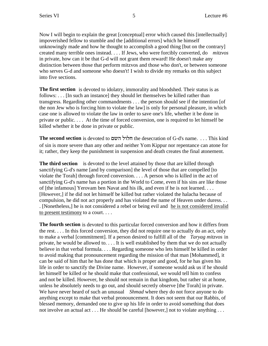Now I will begin to explain the great [conceptual] error which caused this [intellectually] impoverished fellow to stumble and the [additional errors] which he himself unknowingly made and how he thought to accomplish a good thing [but on the contrary] created many terrible ones instead. . . . If Jews, who were forcibly converted, do *mitzvos* in private, how can it be that G-d will not grant them reward! He doesn't make any distinction between those that perform mitzvos and those who don't, or between someone who serves G-d and someone who doesn't! I wish to divide my remarks on this subject into five sections.

**The first section** is devoted to idolatry, immorality and bloodshed. Their status is as follows: . . . [In such an instance] they should let themselves be killed rather than transgress. Regarding other commandments . . . the person should see if the intention [of the non Jew who is forcing him to violate the law] is only for personal pleasure, in which case one is allowed to violate the law in order to save one's life, whether it be done in private or public. . . . At the time of forced conversion, one is required to let himself be killed whether it be done in private or public.

**The second section** is devoted to myd lelg the desecration of G-d's name. . . . This kind of sin is more severe than any other and neither Yom Kippur nor repentance can atone for it; rather, they keep the punishment in suspension and death creates the final atonement.

**The third section** is devoted to the level attained by those that are killed through sanctifying G-d's name [and by comparison] the level of those that are compelled [to violate the Torah] through forced conversion. . . . A person who is killed in the act of sanctifying G-d's name has a portion in the World to Come, even if his sins are like those of [the infamous] Yerovam ben Navat and his ilk, and even if he is not learned. . . . [However,] if he did not let himself be killed but rather violated the halacha because of compulsion, he did not act properly and has violated the name of Heaven under duress. . . . [Nonetheless,] he is not considered a rebel or being evil and he is not considered invalid to present testimony to a court. . . .

**The fourth section** is devoted to this particular forced conversion and how it differs from the rest. . . . In this forced conversion, they did not require one to actually do an act, only to make a verbal [commitment]. If a person desired to fulfill all of the *Taryag mitzvos* in private, he would be allowed to. . . . It is well established by them that we do not actually believe in that verbal formula. . . . Regarding someone who lets himself be killed in order to avoid making that pronouncement regarding the mission of that man [Mohammed], it can be said of him that he has done that which is proper and good, for he has given his life in order to sanctify the Divine name. However, if someone would ask us if he should let himself be killed or he should make that confessional, we would tell him to confess and not be killed. However, he should not remain in that kingdom, but rather sit at home, unless he absolutely needs to go out, and should secretly observe [the Torah] in private. We have never heard of such an unusual *Shmad* where they do not force anyone to do anything except to make that verbal pronouncement. It does not seem that our Rabbis, of blessed memory, demanded one to give up his life in order to avoid something that does not involve an actual act . . . He should be careful [however,] not to violate anything . . .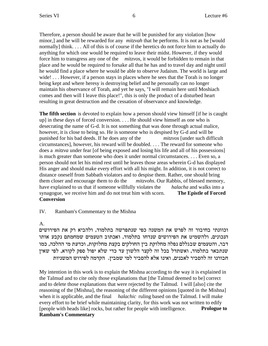Therefore, a person should be aware that he will be punished for any violation [how minor,] and he will be rewarded for any *mitzvah* that he performs. It is not as he [would normally] think. . . . All of this is of course if the heretics do not force him to actually do anything for which one would be required to leave their midst. However, if they would force him to transgress any one of the *mitzvos*, it would be forbidden to remain in that place and he would be required to forsake all that he has and to travel day and night until he would find a place where he would be able to observe Judaism. The world is large and wide!... However, if a person stays in places where he sees that the Torah is no longer being kept and where heresy is destroying belief and he personally can no longer maintain his observance of Torah, and yet he says, "I will remain here until Moshiach comes and then will I leave this place!", this is only the product of a disturbed heart resulting in great destruction and the cessation of observance and knowledge.

**The fifth section** is devoted to explain how a person should view himself [if he is caught] up] in these days of forced conversion. . . . He should view himself as one who is desecrating the name of G-d. It is not something that was done through actual malice, however, it is close to being so. He is someone who is despised by G-d and will be punished for his bad deeds. If he does any of the *mitzvos* [under such difficult circumstances], however, his reward will be doubled. . . . The reward for someone who does a *mitzva* under fear [of being exposed and losing his life and all of his possessions] is much greater than someone who does it under normal circumstances. . . . Even so, a person should not let his mind rest until he leaves those areas wherein G-d has displayed His anger and should make every effort with all his might. In addition, it is not correct to distance oneself from Sabbath violators and to despise them. Rather, one should bring them closer and encourage them to do the *mitzvohs*. Our Rabbis, of blessed memory, have explained to us that if someone willfully violates the *halacha* and walks into a synagogue, we receive him and do not treat him with scorn. **The Epistle of Forced Conversion**

IV. Rambam's Commentary to the Mishna

A.

וכוונתי בחיבור זה לפרש את המשנה כפי שנתפרשה בתלמוד, ולהביא רק את הפירושים הנכונים, ולהשמיט את הפירושים שנדחו בתלמוד, ואכתוב הטעמים שמחמתם נקבע אותו דבר, והטעמים שבגללם נפלה מחלוקת בין החולקים בקצת מחלוקות, וכדעת מי ההלכה, כמו שנתבאר בתלמוד, ואשתדל בכל זה לקצר הלשון עד כדי שלא יפול ספק לקורא, לפי שאין חבורנו זה להסביר לאבנים, ואינו אלא להסביר למי שמבין. הקדמה לפירוש המשניות

My intention in this work is to explain the Mishna according to the way it is explained in the Talmud and to cite only those explanations that [the Talmud deemed to be] correct and to delete those explanations that were rejected by the Talmud. I will [also] cite the reasoning of the [Mishna], the reasoning of the different opinions [quoted in the Mishna] when it is applicable, and the final *halachic* ruling based on the Talmud. I will make every effort to be brief while maintaining clarity, for this work was not written to edify [people with heads like] rocks, but rather for people with intelligence. **Prologue to Rambam's Commentary**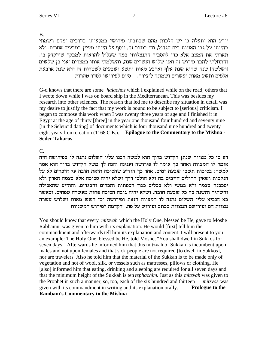**B.** 

יודע הוא יתעלה כי יש הלכות מהם שכתבתי פירושן במסעותי בדרכים ומהם רשמתי בהיותי על גבי האניות בים הגדול, ודי במצב זה, נוסף על היותי מעיין במדעים אחרים. ולא תארתי את המצב אלא כדי להסביר התנצלותי במה שעלול להראות למבקר שידקדק בו. והתחלתי לחבר פירוש זה ואני שלוש ועשרים שנה, והשלמתי אותו במצרים ואני בן שלשים [ושלשה] שנה שהיא שנת אלף וארבע מאות ותשע ושבעים לשטרות זה היא שנת ארבעת אלפים ותשע מאות ועשרים ושמונה ליצירה. – סיום לפירושו לסדר טהרות

G-d knows that there are some *halachos* which I explained while on the road; others that I wrote down while I was on board ship in the Mediterranean. This was besides my research into other sciences. The reason that led me to describe my situation in detail was my desire to justify the fact that my work is bound to be subject to [serious] criticism. I began to compose this work when I was twenty three years of age and I finished it in Egypt at the age of thirty [three] in the year one thousand four hundred and seventy nine [in the Seleucid dating] of documents which is four thousand nine hundred and twenty eight years from creation (1168 C.E.). Epilogue to the Commentary to the Mishna -**Seder Taharos** 

## $C_{\cdot}$

דע כי כל מצווה שנתן הקדוש ברוך הוא למשה רבנו עליו השלום נתנה לו בפירושה היה אומר לו המצווה ואחר כך אומר לו פירושה וענינה והנה לך משל הקדוש ברוך הוא אמר למשה: בסוכות תשבו שבעת ימים. אחר כך הודיע שהסוכה הזאת חובה על הזכרים לא על הנקבות ושאין החולים חייבים בה ולא הולכי דרך ושלא יהיה סכוכה אלא בצמח הארץ ולא יסככנה בצמר ולא במשי ולא בכלים כגון הכסתות והכרים והבגדים. והודיע שהאכילה והשתיה והשנה בה כל שבעה חובה. ושלא יהיה גובה הסוכה פחות מעשרה טפחים. וכאשר בא הנביא עליו השלום נתנה לו המצווה הזאת ופירושה וכן השש מאות ושלוש עשרה מצוות הם ופירושם המצוות בכתב ופירוש על פה. הקדמה לפירוש המשניות

You should know that every *mitzvah* which the Holy One, blessed be He, gave to Moshe Rabbainu, was given to him with its explanation. He would [first] tell him the commandment and afterwards tell him its explanation and content. I will present to you an example: The Holy One, blessed be He, told Moshe, "You shall dwell in Sukkos for seven days." Afterwards he informed him that this mitzvah of Sukkah is incumbent upon males and not upon females and that sick people are not required [to dwell in Sukkos], nor are travelers. Also he told him that the material of the Sukkah is to be made only of vegetation and not of wool, silk, or vessels such as matresses, pillows or clothing. He [also] informed him that eating, drinking and sleeping are required for all seven days and that the minimum height of the Sukkah is ten *tephachim*. Just as this *mitzvah* was given to the Prophet in such a manner, so, too, each of the six hundred and thirteen mitzvos was given with its commandment in writing and its explanation orally. **Prologue to the Rambam's Commentary to the Mishna**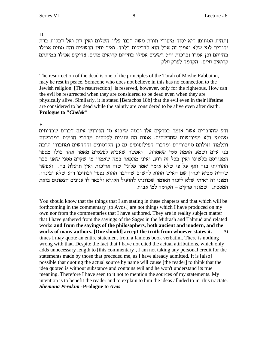D.

[תחית המתים] היא יסוד מיסודי תורת משה רבנו עליו השלום ואין דת ואל דבקות בדת יהודית למי שלא יאמין זה אבל הוא לצדיקים בלבד. ואיך יחיו הרשעים והם מתים אפילו בחייהם וכן אמרו (ברכות יח:) רשעים אפילו בחייהם קרואים מתים, צדיקים אפילו במיתתם קרואים חיים. הקדמה לפרק חלק

The resurrection of the dead is one of the principles of the Torah of Moshe Rabbainu, may he rest in peace. Someone who does not believe in this has no connection to the Jewish religion. [The resurrection] is reserved, however, only for the righteous. How can the evil be resurrected when they are considered to be dead even when they are physically alive. Similarly, it is stated [Berachos 18b] that the evil even in their lifetime are considered to be dead while the saintly are considered to be alive even after death. **Prologue to "Chelek"** 

Ε.

ודע שהדברים אשר אומר בפרקים אלו ובמה שיבוא מן הפירוש אינם דברים שבדיתים מעצמי ולא מפירושים שחדשתים. אמנם הם ענינים לקטתים מדברי חכמים במדרשות ותלמוד וזולתם מחבוריהם ומדברי הפילוסופים גם כן הקדמונים והחדשים ומחבורי הרבה בני אדם ושמע האמת ממי שאמרה. ואפשר שאביא לפעמים מאמר אחד כולו מספר המפורסם בלשונו ואין בכל זה רוע, ואיני מתפאר במה שאמרו מי שקדם ממני שאני כבר התודיתי בזה ואף על פי שלא אומר 'אמר פלוני' שזה אריכות ואין תועלת בה. ואפשר שיהיה מביא זכרון שם האיש ההוא לחשוב שהדבר ההוא נפסד ובתוכו רוע שלא יבינהו. ומפני זה ראיתי שלא לזכור האומר שכוונתי להועיל הקורא ולבאר לו ענינים הצפונים בזאת המסכת. שמונה פרקים – הקדמה למ׳ אבות

You should know that the things that I am stating in these chapters and that which will be forthcoming in the commentary [to Avos,] are not things which I have produced on my own nor from the commentaries that I have authored. They are in reality subject matter that I have gathered from the sayings of the Sages in the Midrash and Talmud and related works and from the sayings of the philosophers, both ancient and modern, and the works of many authors. [One should] accept the truth from whoever states it. At times I may quote an entire statement from a famous book verbatim. There is nothing wrong with that. Despite the fact that I have not cited the actual attributions, which only adds unnecessary length to [this commentary], I am not taking any personal credit for the statements made by those that preceded me, as I have already admitted. It is [also] possible that quoting the actual source by name will cause [the reader] to think that the idea quoted is without substance and contains evil and he won't understand its true meaning. Therefore I have seen to it not to mention the sources of my statements. My intention is to benefit the reader and to explain to him the ideas alluded to in this tractate. **Shemona Perakim - Prologue to Avos**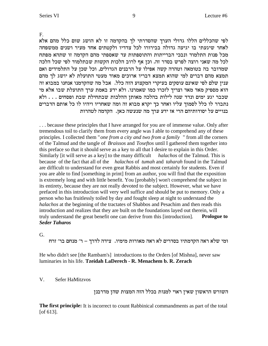F.

לפי שהכללים הללו גדולי הערך שהסדרתי לך בהקדמה זו לא הושג שום כלל מהם אלא לאחר שיגעתי בו יגיעה גדולה בבירורו לכל צדדיו ולקטתים אחד מעיר ושנים ממשפחה מכל פנות התלמוד ונבכי הברייתות והתוספתות עד שאספתי מהם הקדמה זו שתהא מפתח לכל מה שאני רוצה לפרש בסדר זה. וכן אף לרוב הלכות הקשות שבתלמוד לפי שכל הלכה שמדובר בה בטומאה וטהרה קשה אפילו על הרבנים הגדולים, וכל שכן על התלמידים ואם תמצא מהם דברים למי שהוא תמצא דבריו ארוכים מאוד מעטי התועלת לא יושג לך מהם ענין שלם לפי שאינם עוסקים בעיקרי המקצוע הזה כלל. אבל מה שהקדמנו אנחנו במבוא זה הוא מספיק מאד מאד וצריך לזכרו כמו שאמרנו. ולא ידע באמת ערך התועלת שבו אלא מי  $\kappa$ שכבר יגע ימים ונדד שנה לילות בהלכה מאותן ההלכות שבתחילת שבת ופסחים . . . ולא נתברר לו כלל לסמוך עליו ואחר כך יקרא מבוא זה ומה שאחריו ויהיו לו כל אותם הדברים בנויים על יסודותיהם הרי אז ידע ערך מה שנעשה כאז. הקדמה לטהרות

. . . because these principles that I have arranged for you are of immense value. Only after tremendous toil to clarify them from every angle was I able to comprehend any of these principles. I collected them "*one from a city and two from a family* " from all the corners of the Talmud and the tangle of *Braissos* and *Toseftos* until I gathered them together into this preface so that it should serve as a key to all that I desire to explain in this Order. Similarly [it will serve as a key] to the many difficult *halachos* of the Talmud. This is because of the fact that all of the *halachos* of *tumah* and *taharah* found in the Talmud are difficult to understand for even great Rabbis and most certainly for students. Even if you are able to find [something in print] from an author, you will find that the exposition is extremely long and with little benefit. You [probably] won't comprehend the subject in its entirety, because they are not really devoted to the subject. However, what we have prefaced in this introduction will very well suffice and should be put to memory. Only a person who has fruitlessly toiled by day and fought sleep at night to understand the *halachos* at the beginning of the tractates of Shabbos and Pesachim and then reads this introduction and realizes that they are built on the foundations layed out therein, will truly understand the great benefit one can derive from this [introduction]. **Prologue to** *Seder Taharos*

G.

ומי שלא ראה הקדמתיו בסדרים לא ראה מאורות מימיו. צידה לדרך – ר' מנחם בר' זרח

He who didn't see [the Rambam's] introductions to the Orders [of Mishna], never saw luminaries in his life. **Tzeidah LaDerech - R. Menachem b. R. Zerach**

#### V. Sefer HaMitzvos

השורש הראשון שאין ראוי למנות בכלל הזה המצות שהן מדרבנן

**The first principle:** It is incorrect to count Rabbinical commandments as part of the total [of 613].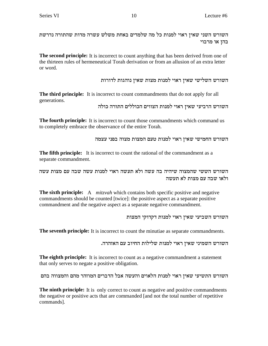השורש השני שאין ראוי למנות כל מה שלמדים באחת משלש עשרה מדות שהתורה נדרשת בהן או מרבוי

**The second principle:** It is incorrect to count anything that has been derived from one of the thirteen rules of hermeneutical Torah derivation or from an allusion of an extra letter or word.

השורש השלישי שאין ראוי למנות מצות שאין נוהגות לדורות

**The third principle:** It is incorrect to count commandments that do not apply for all generations.

השורש הרביעי שאין ראוי למנות הצווים הכוללים התורה כולה

**The fourth principle:** It is incorrect to count those commandments which command us to completely embrace the observance of the entire Torah.

השורש החמישי שאין ראוי למנות טעם המצות מצוה בפני עצמה

The fifth principle: It is incorrect to count the rational of the commandment as a separate commandment.

השורש הששי שהמצוה שיהיה בה עשה ולא תעשה ראוי למנות עשה שבה עם מצות עשה ולאו שבה עם מצות לא תעשה

**The sixth principle:** A *mitzyah* which contains both specific positive and negative commandments should be counted [twice]: the positive aspect as a separate positive commandment and the negative aspect as a separate negative commandment.

השורש השביעי שאין ראוי למנות דקדוקי המצות

**The seventh principle:** It is incorrect to count the minutiae as separate commandments.

השורש השמיני שאין ראוי למנות שלילות החיוב עם האזהרה.

**The eighth principle:** It is incorrect to count as a negative commandment a statement that only serves to negate a positive obligation.

השורש התשיעי שאין ראוי למנות הלאוים והעשה אבל הדברים המוזהר מהם והמצווה בהם

**The ninth principle:** It is only correct to count as negative and positive commandments the negative or positive acts that are commanded [and not the total number of repetitive commands].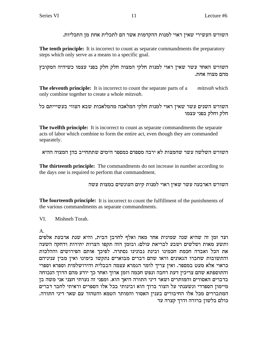השורש העשירי שאין ראוי למנות ההקדמות אשר הם לתכלית אחת מן התכליות.

**The tenth principle:** It is incorrect to count as separate commandments the preparatory steps which only serve as a means to a specific goal.

השורש האחד עשר שאין ראוי למנות חלקי המצוה חלק חלק בפני עצמו כשיהיה המקובץ מהם מצוה אחת.

**The eleventh principle:** It is incorrect to count the separate parts of a *mitzvah* which only combine together to create a whole *mitzvah*.

השורש השנים עשר שאין ראוי למנות חלקי המלאכה מהמלאכות שבא הצווי בעשיייתם כל חלק וחלק בפני עצמו

**The twelfth principle:** It is incorrect to count as separate commandments the separate acts of labor which combine to form the entire act, even though they are commanded separately.

השורש השלשה עשר שהמצות לא ירבה מספרם כמספר הימים שתתחייב בהן המצוה ההיא

The thirteenth principle: The commandments do not increase in number according to the days one is required to perform that commandment.

השורש הארבעה עשר שאין ראוי למנות קיום העונשים במצות עשה

The fourteenth principle: It is incorrect to count the fulfillment of the punishments of the various commandments as separate commandments.

VI. Mishneh Torah.

 $\mathbf{A}$ 

ועד זמן זה שהיא שנה שמינית אחר מאה ואלף לחרבן הבית, והיא שנת ארבעת אלפים ותשע מאות ושלשים ושבע לבריאת עולם: ובזמן הזה תקפו הצרות יתירות ודחקה השעה את הכל ואבדה חכמת חכמינו ובינת נבונינו נסתרה. לפיכך אותם הפירושים וההלכות והתשובות שחברו הגאונים וראו שהם דברים מבוארים נתקשו בימינו ואין מבין עניניהם כראוי אלא מעט במספר. ואין צריך לומר הגמרא עצמה הבבלית והירושלמית וספרא וספרי והתוספתא שהם צריכין דעת רחבה ונפש חכמה וזמן ארוך ואחר כך יודע מהם הדרך הנכוחה בדברים האסורים והמותרים ושאר דיני התורה היאך הוא. ומפני זה נערתי חצני אני משה בן מיימון הספרדי ונשענתי על הצור ברוך הוא ובינותי בכל אלו הספרים וראיתי לחבר דברים המתבררים מכל אלו החיבורים בענין האסור והמותר הטמא והטהור עם שאר דיני התורה. כולם בלשון ברורה ודרך קצרה עד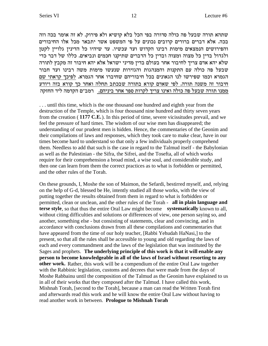שתהא תורה שבעל פה כולה סדורה בפי הכל בלא קושיא ולא פירוק. לא זה אומר בכה וזה בכה. אלא דברים ברורים קרובים נכונים על פי המשפט אשר יתבאר מכל אלו החיבורים והפירושים הנמצאים מימות רבינו הקדוש ועד עכשיו. עד שיהיו כל הדינין גלויין לקטן ולגדול בדין כל מצוה ומצוה ובדין כל הדברים שתיקנו חכמים ונביאים. כללו של דבר כדי שלא יהא אדם צריך לחיבור אחר בעולם בדין מדיני ישראל אלא יהא חיבור זה מקבץ לתורה שבעל פה כולה עם התקנות והמנהגות והגזירות שנעשו מימות משה רבינו ועד חבור הגמרא וכמו שפירשו לנו הגאונים בכל חיבוריהם שחיברו אחר הגמרא. לפיכך קראתי שם חיבור זה משנה תורה. לפי שאדם קורא בתורה שבכתב תחלה ואחר כך קורא בזה ויודע ממנו תורה שבעל פה כולה ואינו צריך לקרות ספר אחר ביניהם. רמב״ם הקדמה ליד החזקה

... until this time, which is the one thousand one hundred and eighth year from the destruction of the Temple, which is four thousand nine hundred and thirty seven years from the creation ( $1177 \text{ C.E.}$ ). In this period of time, severe vicissitudes prevail, and we feel the pressure of hard times. The wisdom of our wise men has disappeared; the understanding of our prudent men is hidden. Hence, the commentaries of the Geonim and their compilations of laws and responses, which they took care to make clear, have in our times become hard to understand so that only a few individuals properly comprehend them. Needless to add that such is the case in regard to the Talmud itself - the Babylonian as well as the Palestinian - the Sifra, the Sifrei, and the Tosefta, all of which works require for their comprehension a broad mind, a wise soul, and considerable study, and then one can learn from them the correct practices as to what is forbidden or permitted, and the other rules of the Torah.

On these grounds, I, Moshe the son of Maimon, the Sefardi, bestirred myself, and, relying on the help of G-d, blessed be He, intently studied all those works, with the view of putting together the results obtained from them in regard to what is forbidden or permitted, clean or unclean, and the other rules of the Torah - all in plain language and terse style, so that thus the entire Oral Law might become systematically known to all, without citing difficulties and solutions or differences of view, one person saying so, and another, something else - but consisting of statements, clear and convincing, and in accordance with conclusions drawn from all these compilations and commentaries that have appeared from the time of our holy teacher, [Rabbi Yehudah HaNasi,] to the present, so that all the rules shall be accessible to young and old regarding the laws of each and every commandment and the laws of the legislation that was instituted by the Sages and prophets. The underlying principle of this work is that it will enable any person to become knowledgeable in all of the laws of Israel without resorting to any **other work.** Rather, this work will be a compendium of the entire Oral Law together with the Rabbinic legislation, customs and decrees that were made from the days of Moshe Rabbainu until the composition of the Talmud as the Geonim have explained to us in all of their works that they composed after the Talmud. I have called this work, Mishnah Torah, [second to the Torah], because a man can read the Written Torah first and afterwards read this work and he will know the entire Oral Law without having to read another work in between. Prologue to Mishnah Torah

12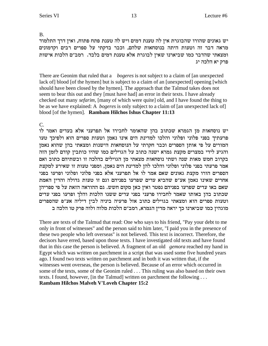B.

יש גאונים שהורו שהבוגרת אין לה טענת דמים ויש לה טענת פתח פתוח, ואין דרך התלמוד מראה דבר זה וטעות היתה בנוסחאות שלהם, וכבר בדקתי על ספרים רבים וקדמונים ומצאתי שהדבר כמו שביארנו שאין לבוגרת אלא טענת דמים בלבד. רמב"ם הלכות אישות פרק יא הלכה יג

There are Geonim that ruled that a *bogeres* is not subject to a claim of [an unexpected lack of blood [of the hymen] but is subject to a claim of an [unexpected] opening [which] should have been closed by the hymen]. The approach that the Talmud takes does not seem to bear this out and they [must have had] an error in their texts. I have already checked out many *sefarim*, [many of which were quite] old, and I have found the thing to be as we have explained: A *bogeres* is only subject to a claim of [an unexpected lack of] blood [of the hymen]. Rambam Hilchos Ishus Chapter 11:13

 $C_{\cdot}$ 

יש נוסחאות מן הגמרא שכתוב בהן שהאומר לחבירו אל תפרעני אלא בעדים ואמר לו פרעתיך בפני פלוני ופלוני והלכו למדינת הים אינו נאמן וטעות ספרים הוא ולפיכך טעו המורים על פי אותן הספרים וכבר חקרתי על הנוסחאות הישנות ומצאתי בהן שהוא נאמן והגיע לידי במצרים מקצת גמרא ישנה כתוב על הגוילים כמו שהיו כותבין קודם לזמן הזה בקרוב חמש מאות שנה ושתי נוסחאות מצאתי מן הגוילים בהלכה זו ובשתיהם כתוב ואם אמר פרעתי בפני פלוני ופלוני והלכו להן למדינת הים נאמן, ומפני טעות זו שאירע למקצת הספרים הורו מקצת גאונים שאם אמר לו אל תפרעני אלא בפני פלוני ופלוני ופרעו בפני אחרים שאינו נאמן אע״פ שהביא עדים שפרעו בפניהם וגם זו טעות גדולה והדין האמת שאם באו עדים שפרעו בפניהם נפטר ואין כאן מקום חשש. גם ההוראה הזאת על פי ספריהן שכתוב בהן באותו שאמר לחבירו פרעני בפני עדים ששנו הלכות והלך ופרעו בפני עדים וטעות ספרים הוא ומצאתי בגוילים כתוב אזל פרעיה ביניה לבין דיליה אע"פ שהספרים מוגהין כמו שביארנו כך יראה מדין הגמרא, רמב״ם הלכות מלוה ולוה פרק טו הלכה ב

There are texts of the Talmud that read: One who says to his friend, "Pay your debt to me only in front of witnesses" and the person said to him later, "I paid you in the presence of these two people who left overseas" is not believed. This text is incorrect. Therefore, the decisors have erred, based upon those texts. I have investigated old texts and have found that in this case the person is believed. A fragment of an old *gemora* reached my hand in Egypt which was written on parchment in a script that was used some five hundred years ago. I found two texts written on parchment and in both it was written that, if the witnesses went overseas, the person is believed. Because of an error which occurred in some of the texts, some of the Geonim ruled . . . This ruling was also based on their own texts. I found, however, [in the Talmud] written on parchment the following . . . **Rambam Hilchos Malveh V'Loveh Chapter 15:2**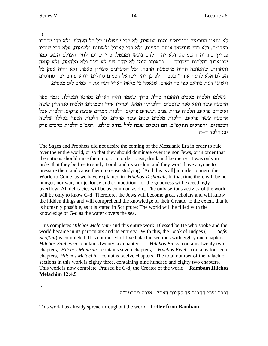D.

לא נתאוו החכמים והנביאים ימות המשיח, לא כדי שישלטו על כל העולם, ולא כדי שירדו בעכו״ם, ולא כדי שינשאו אותם העמים, ולא כדי לאכול ולשתות ולשמוח, אלא כדי שיהיו פנויין בתורה וחכמתה, ולא יהיה להם נוגש ומבטל, כדי שיזכו לחיי העולם הבא. כמו ש ביארנו בהלכות תשובה. נבאותו הזמן לא יהיה שם לא רעב ולא מלחמה, ולא קנאה ותחרות, שהטובה תהיה מושפעת הרבה, וכל המעדנים מצויין כעפר, ולא יהיה עסק כל העולם אלא לדעת את ד׳ בלבד, ולפיכך יהיו ישראל חכמים גדולים ויודעים דברים הסתומים . וישיגו דעת בוראם כפי כח האדם, שנאמר כי מלאה הארץ דעה את ד׳ כמים לים מכסים

נשלמו הלכות מלכים והחבור כולו, ברוך שאמר והיה העולם בפרטו ובכללו. נגמר ספר ארבעה עשר והוא ספר שופטים, הלכותיו חמש, ופרקיו אחד ושמונים: הלכות סנהדריז ששה ועשרים פרקים, הלכות עדות שנים ועשרים פרקים, הלכות ממרים שבעה פרקים, הלכות אבל ארבעה עשר פרקים, הלכות מלכים שנים עשר פרקים. כל הלכות הספר בכללו שלשה ושמונים, והפרקים תתקפ״ב. תם ונשלם שבח לקל בורא עולם. רמב״ם הלכות מלכים פרק יב: הלכה ד–ה

The Sages and Prophets did not desire the coming of the Messianic Era in order to rule over the entire world, or so that they should dominate over the non Jews, or in order that the nations should raise them up, or in order to eat, drink and be merry. It was only in order that they be free to study Torah and its wisdom and they won't have anyone to pressure them and cause them to cease studying. [And this is all] in order to merit the World to Come, as we have explained in *Hilchos Teshuvah*. In that time there will be no hunger, nor war, nor jealousy and competition, for the goodness will exceedingly overflow. All delicacies will be as common as dirt. The only serious activity of the world will be only to know G-d. Therefore, the Jews will become great scholars and will know the hidden things and will comprehend the knowledge of their Creator to the extent that it is humanly possible, as it is stated in Scripture: The world will be filled with the knowledge of G-d as the water covers the sea.

This completes *Hilchos Melachim* and this entire work. Blessed be He who spoke and the world became in its particulars and its entirety. With this, the Book of Judges ( *Sefer Shoftim*) is completed. It is composed of five halachic sections with eighty one chapters: *Hilchos Sanhedrin* contains twenty six chapters, *Hilchos Eidos* contains twenty two chapters, *Hilchos Mamrim* contains seven chapters, *Hilchos Eivel* contains fourteen chapters, *Hilchos Melachim* contains twelve chapters. The total number of the halachic sections in this work is eighty three, containing nine hundred and eighty two chapters. This work is now complete. Praised be G-d, the Creator of the world. **Rambam Hilchos Melachim 12:4,5**

E.

וכבר נפוץ החבור עד לקצות הארץ. אגרת מהרמב"ם

This work has already spread throughout the world. **Letter from Rambam**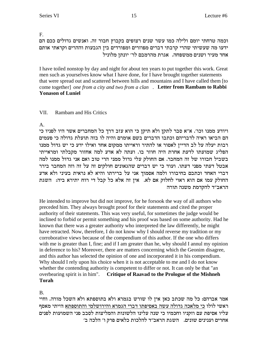F.

וכמה טרחתי יומם ולילה כמו עשר שנים רצופים בקבוץ חבור זה. ואנשים גדולים ככם הם ידעו מה שעשיתי שהרי קרבתי דברים מפוזרים ומפורדים בין הגבעות וההרים וקראתי אותם אחד מעיר ושנים ממשפחה. אגרת מהרמבם לר׳ יונתן מלוניל

I have toiled nonstop by day and night for about ten years to put together this work. Great men such as yourselves know what I have done, for I have brought together statements that were spread out and scattered between hills and mountains and I have called them [to] come together] one from a city and two from a clan. Letter from Rambam to Rabbi **Yonason of Luniel** 

#### VII. **Rambam and His Critics**

 $\mathsf{A}$ .

ויודע ממנו וכו׳. א״א סבר לתקן ולא תיקן כי הוא עזב דרך כל המחברים אשר היו לפניו כי הם הביאו ראיה לדבריהם וכתבו הדברים בשם אומרם והיה לו בזה תועלת גדולה כי פעמים רבות יעלה על לב הדיין לאסור או להתיר וראייתו ממקום אחד ואילו ידע כי יש גדול ממנו הפליג שמועתו לדעת אחרת היה חוזר בו. ועתה לא אדע למה אחזור מקבלתי ומראייתי בשביל חבורו של זה המחבר. אם החולק עלי גדול ממני הרי טוב ואם אני גדול ממנו למה אבטל דעתי מפני דעתו. ועוד כי יש דברים שהגאונים חולקים זה על זה וזה המחבר בירר דברי האחד וכתבם בחיבורו ולמה אסמוך אני על ברירתו והיא לא נראית בעיני ולא אדע החולק עמו אם הוא ראוי לחלוק אם לא. אין זה אלא כל קבל די רוח יתירא ביה: השגת הראב״ד להקדמת משנה תורה

He intended to improve but did not improve, for he forsook the way of all authors who preceded him. They always brought proof for their statements and cited the proper authority of their statements. This was very useful, for sometimes the judge would be inclined to forbid or permit something and his proof was based on some authority. Had he known that there was a greater authority who interpreted the law differently, he might have retracted. Now, therefore, I do not know why I should reverse my tradition or my corroborative views because of the compendium of this author. If the one who differs with me is greater than I, fine; and if I am greater than he, why should I annul my opinion in deference to his? Moreover, there are matters concerning which the Geonim disagree, and this author has selected the opinion of one and incorporated it in his compendium. Why should I rely upon his choice when it is not acceptable to me and I do not know whether the contending authority is competent to differ or not. It can only be that "an overbearing spirit is in him". **Critique of Raavad to the Prologue of the Mishneh Torah** 

**B.** 

אמר אברהם: כל מה שכתב כאן אין לו שורש בגמרא ולא בתוספתא ולא השכל מורה. וחיי ראשי לולו כי מלאכה גדולה עשה באסיפתו דברי הגמרא והירושלמי והתוספתא הייתי מאסף עליו אסיפת עם וזקניו וחכמיו כי שנה עלינו הלשונות והמליצות לסבב פני השמועות לפנים אחרים וענינים שונים. השגת הראב"ד להלכות כלאים פרק ו' הלכה ב'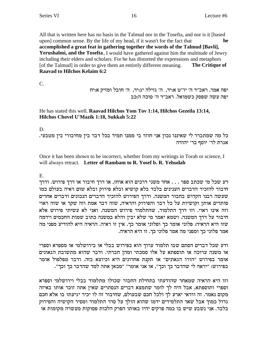All that is written here has no basis in the Talmud nor in the Tosefta, and nor is it [based] upon] common sense. By the life of my head, if it wasn't for the fact that he accomplished a great feat in gathering together the words of the Talmud [Bavli], Yerushalmi, and the Tosefta, I would have gathered against him the multitude of Jewry including their elders and scholars. For he has distorted the expressions and metaphors [of the Talmud] in order to give them an entirely different meaning. The Critique of **Raavad to Hilchos Kelaim 6:2** 

 $C_{\cdot}$ 

יפה אמר. ראב"ד ה' יו"ט א:יד, ה' גזילה יג:יד, ה' חובל ומזיק א:יח יפה עשה שפסק כשמואל. ראב״ד ה׳ סוכה ה:כב

### He has stated this well. Raavad Hilchos Yom Tov 1:14, Hilchos Gezeila 13:14, Hilchos Chovel U'Mazik 1:18, Sukkah 5:22

 $D<sub>1</sub>$ 

כל מה שמתברר לי שאיננו נכון אני חוזר בי ממנו תמיד בכל דבר בין מחיבורי בין מטבעי. אגרת לר׳ יוסף בר׳ יהודה

Once it has been shown to be incorrect, whether from my writings in Torah or science, I will always retract. Letter of Rambam to R. Yosef b. R. Yehudah

E.

דע שכל מי שכתב ספר . . . אחד משני דרכים הוא אוחז, או דרך חיבור או דרך פירוש. ודרך חיבור להזכיר הדברים הענינים בלבד בלא קושיא ובלא פירוק ובלא שום ראיה בעולם כמו שעשה רבנו הקדוש בחבור המשנה. ודרך הפירוש להזכיר הדברים הנכונים ודברים אחרים סותרים אותן וקושיות על כל דבר והפירוק והראיה, שזה דבר אמת וזה שקר או שזה ראוי וזה אינו ראוי. וזו דרך התלמוד, שהתלמוד פירוש המשנה. ואני לא עשיתי פירוש אלא חיבור על דרך המשנה. ושמא יאמר מי שלא יבין והלא במשנה כתוב שמות החכמים וידמה שזו היא הראיה: פלוני אומר כך ופלוני אומר כך. אין זו ראיה. הראיה היא להודיע מפני מה אמר פלוני כך ומפני מה אמר פלוני כך. זו היא הראיה.

ודע שכל דברים הסתם שבו תלמוד ערוך הוא בפירוש בבלי או בירושלמי או מספרא וספרי או משנה ערוכה או תוספתא על אלו סמכתי ומהן חברתי. ודבר שהוא מתשובת הגאונים אומר בפירוש "הורו הגאונים" או תקנת אחרונים היא וכיוצא בזה. ודבר מפלפול אומר בפירוש: "יראה לי שהדבר כך וכך", או אני אומר" "מכאן אתה למד שהדבר כך וכך".

וזו היא הראיה שמאחר שהודעתי בתחילת החבור שכולו מתלמוד בבלי וירושלמי וספרא וספרי ותוספתא. אבל היה לך לומר שתמצא דברים הנסתרים שאין אתה זוכר אותו באיזה מקום נאמר. זה וודאי יארע לך ולכל חכם שבעולם, שחיבור זה לו יכיר יגיעתו בו אלא חכם גדול כמוך אבל שאר התלמידים ידמו שהוא הולך על סדר התלמוד ומסיר הקושיה והפירוק בלבד. אני נשבע שיש בו כמה פרקים יהיו באותו הפרק הלכות פסוקות מעשרה מקומות או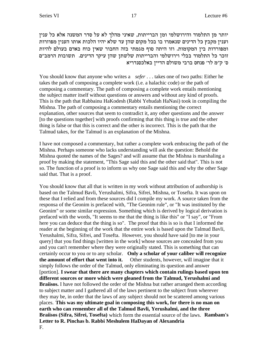יותר מן התלמוד והירושלמי ומן הברייתות, שאיני מהלך לא על סדר המשנה אלא כל ענין דענין מקבץ כל הדינים שנאמרו בו בכל מקום שהן עד שלא יהיו הלכות אותו הענין מפוזרות ומפורדות בין המקומות. וזו היתה סוף מגמתי בזה החבור שאין כוח באדם בעולם להיות זוכר כל התלמוד בבלי וירושלמי והברייתות שלשתן שהן עיקר הדינים. תשובות הרמב"ם ס׳ ק״מ לר׳ פנחס ברבי משולם הדיין באלכסנדריא

You should know that anyone who writes a *sefer* . . . takes one of two paths: Either he takes the path of composing a complete work (i.e. a halachic code) or the path of composing a commentary. The path of composing a complete work entails mentioning the subject matter itself without questions or answers and without any kind of proofs. This is the path that Rabbainu HaKodesh (Rabbi Yehudah HaNasi) took in compiling the Mishna. The path of composing a commentary entails mentioning the correct explanation, other sources that seem to contradict it, any other questions and the answer [to the questions together] with proofs confirming that this thing is true and the other thing is false or that this is correct and the other is incorrect. This is the path that the Talmud takes, for the Talmud is an explanation of the Mishna.

I have not composed a commentary, but rather a complete work embracing the path of the Mishna. Perhaps someone who lacks understanding will ask the question: Behold the Mishna quoted the names of the Sages? and will assume that the Mishna is marshaling a proof by making the statement, "This Sage said this and the other said that". This is not so. The function of a proof is to inform us why one Sage said this and why the other Sage said that. That is a proof.

You should know that all that is written in my work without attribution of authorship is based on the Talmud Bavli, Yerushalmi, Sifra, Sifrei, Mishna, or Tosefta. It was upon on these that I relied and from these sources did I compile my work. A source taken from the responsa of the Geonim is prefaced with, "The Geonim rule", or "It was instituted by the Geonim" or some similar expression. Something which is derived by logical derivation is prefaced with the words, "It seems to me that the thing is like this" or "I say", or "From here you can deduce that the thing is so". The proof that this is so is that I informed the reader at the beginning of the work that the entire work is based upon the Talmud Bavli, Yerushalmi, Sifra, Sifrei, and Tosefta. However, you should have said [to me in your query] that you find things [written in the work] whose sources are concealed from you and you can't remember where they were originally stated. This is something that can certainly occur to you or to any scholar. **Only a scholar of your caliber will recognize the amount of effort that went into it.** Other students, however, will imagine that it simply follows the order of the Talmud, only eliminating its question and answer [portion]. **I swear that there are many chapters which contain rulings based upon ten different sources or more which were gleaned from the Talmud, Yerushalmi and Braiisos.** I have not followed the order of the Mishna but rather arranged them according to subject matter and I gathered all of the laws pertinent to the subject from wherever they may be, in order that the laws of any subject should not be scattered among various places. **This was my ultimate goal in composing this work, for there is no man on earth who can remember all of the Talmud Bavli, Yerushalmi, and the three Braiisos (Sifra, Sifrei, Tosefta)** which form the essential source of the laws. **Rambam's Letter to R. Pinchas b. Rabbi Meshulem HaDayan of Alexandria** F.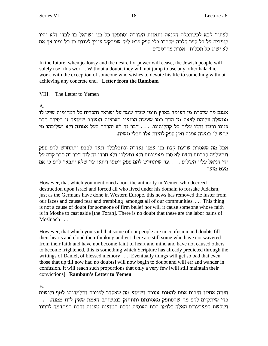לעתיד לבא לכשתכלה הקנאה ותאוות השררה יסתפקו כל בני ישראל בו לבדו ולא יהיו קופצים על כל ספר הלכה מלבדו בלי ספק פרט למי שמבקש עניין לענות בו כל ימיו אף אם לא ישיג כל תכלית. אגרת מהרמב״ם

In the future, when jealousy and the desire for power will cease, the Jewish people will solely use [this work]. Without a doubt, they will not jump to use any other halachic work, with the exception of someone who wishes to devote his life to something without achieving any concrete end. Letter from the Rambam

VIII. The Letter to Yemen

 $A_{1}$ 

אמנם מה שזכרת מן העומד בארץ תימן שגזר שמד על ישראל והכריח כל המקומות שיש לו ממשלה עליהם לצאת מן הדת כמו שעשה הכנעני בארצות המערב שמועה זו הסירה הדר פנינו ורגזו וחלו עליה כל קהלותינו. . . . דבר זה לא יהרהר בעל אמונה ולא ישליכהו מי שיש לו במשה אמנה ואין ספק להיות אלו חבלי משיח.

אבל מה שאמרת שדעת קצת בני עמנו נעדרה ונתבלבלה ונעה לבבם ותתחדש להם ספק ונתעלפה סברתם וקצת לא סרו מאמונתם ולא נתעלפו ולא חרדו זה לזה דבר זה כבר קדם על ידי דניאל עליו השלום . . . . עד שיתחדש להם ספק ויטעו ויתעו עד שלא יתבאר להם כי אם מעט מזער.

However, that which you mentioned about the authority in Yemen who decreed destruction upon Israel and forced all who lived under his domain to forsake Judaism, just as the Germans have done in Western Europe, this news has removed the luster from our faces and caused fear and trembling amongst all of our communities.... This thing is not a cause of doubt for someone of firm belief nor will it cause someone whose faith is in Moshe to cast aside [the Torah]. There is no doubt that these are the labor pains of Moshiach  $\ldots$ 

However, that which you said that some of our people are in confusion and doubts fill their hearts and cloud their thinking and yet there are still some who have not wavered from their faith and have not become faint of heart and mind and have not caused others to become frightened, this is something which Scripture has already predicted through the writings of Daniel, of blessed memory . . . [Eventually things will get so bad that even those that up till now had no doubts] will now begin to doubt and will err and wander in confusion. It will reach such proportions that only a very few [will still maintain their convictions]. Rambam's Letter to Yemen

# **B.**

ועתה אחינו חיבים אתם להטות אזנכם ושמוע מה שאסדר לפניכם ותלמדוהו לטף ולנשים . . . . ממנה. . . . שהסתפק מאמונתם ותתחזק בנפשותם האמת שאין לזוז ממנה. ושלשת המערערים האלה כלומר הכת האנסית והכת הטוענת טענות והכת המתדמה לדתנו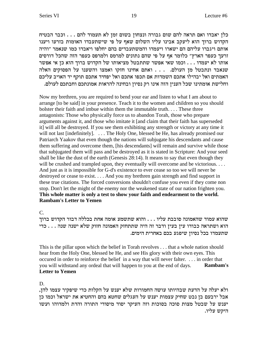כלן יאבדו ואם תראה להם שום גבורה ונצחון בשום זמן לא תעמוד להם . . . וכבר הבטיח הקדוש ברוך הוא ליעקב אבינו עליו השלום שאף על פי שישתעבדו האומות בזרעו ויענו אותם ויגברו עליהם הם ישארו ויעמדו והמשתעבדים בהם יחלפו ויאבדו כמו שנאמר "והיה זרעך כעפר הארץ" כלומר אף על פי שהם נתונים למרמס ולמרפס כעפר הזה שהכל דורסים אותו לא יעמדו . . . וכמו שאי אפשר שתתבטל מציאותו של הקדוש ברוך הוא כן אי אפשר שנאבד ונתבטל מן העולם. . . . ואתם אחינו חזקו ואמצו והשענו על הפסוקים האלה האמתים ואל יבהילו אתכם השמדות אם תכפו אתכם ואל יפחיד אתכם תוקף יד האויב עליכם וחלישת אומתינו שכל הענין הזה אינו רק נסיון ובחינה להראות אמונתכם וחבתכם לעולם.

Now my brethren, you are required to bend your ear and listen to what I am about to arrange [to be said] in your presence. Teach it to the women and children so you should bolster their faith and imbue within them the immutable truth.... These three antagonists: Those who physically force us to abandon Torah, those who prepare arguments against it, and those who imitate it [and claim that their faith has superseded it] will all be destroyed. If you see them exhibiting any strength or victory at any time it will not last [indefinitely]. ... The Holy One, blessed be He, has already promised our Patriarch Yaakov that even though the nations will subjugate his descendants and cause them suffering and overcome them, [his descendants] will remain and survive while those that subjugated them will pass and be destroyed as it is stated in Scripture: And your seed shall be like the dust of the earth (Genesis 28:14). It means to say that even though they will be crushed and trampled upon, they eventually will overcome and be victorious.... And just as it is impossible for G-d's existence to ever cease so too we will never be destroyed or cease to exist. . . . And you my brethren gain strength and find support in these true citations. The forced conversions shouldn't confuse you even if they come non stop. Don't let the might of the enemy nor the weakened state of our nation frighten you. This whole matter is only a test to show your faith and endearment to the world. **Rambam's Letter to Yemen** 

 $C_{\cdot}$ 

שהוא עמוד שהאמונה סובבת עליו . . . והוא שתשמע אומה אחת בכללה דבור הקדוש ברוך הוא ושתראה כבודו עין בעין ודבר זה היה שתתחזק האמונה חזוק שלא ישנה שנה . . . כדי שתעמדו בכל נסיון שיפגע בכם באחרית הימים.

This is the pillar upon which the belief in Torah revolves . . . that a whole nation should hear from the Holy One, blessed be He, and see His glory with their own eyes. This occured in order to reinforce the belief in a way that will never falter. . . . in order that you will withstand any ordeal that will happen to you at the end of days. Rambam's **Letter to Yemen** 

D.

ולא יעלה על הדעת שבהיותו עושה החמורות שלא יענש על הקלות כדי שיפקיר עצמו להן, אבל ירבעם בן נבט שחיק עצמות יענש על העגלים שחטא בהם והחטיא את ישראל וכמו כן יענש על שבטל מצות סוכה בסוכות וזה העיקר יסוד מיסודי התורה והדת ולמדוהו ועשו היקש עליו.